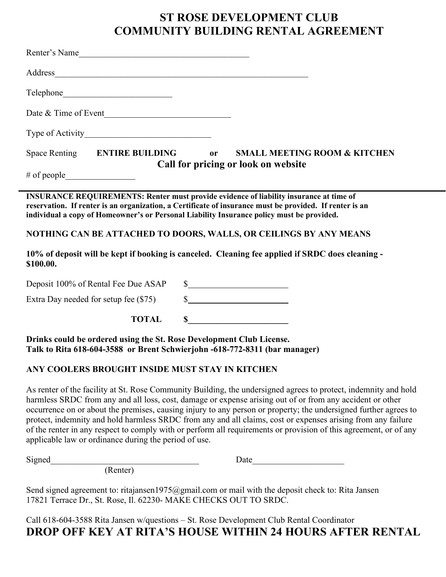# **ST ROSE DEVELOPMENT CLUB COMMUNITY BUILDING RENTAL AGREEMENT**

| Renter's Name                                                                                                                                                                                                                                                                                                                                                              |                                                                                                                                                                                                                                                                                                                                                                                                                                                                                                                                                                                       |
|----------------------------------------------------------------------------------------------------------------------------------------------------------------------------------------------------------------------------------------------------------------------------------------------------------------------------------------------------------------------------|---------------------------------------------------------------------------------------------------------------------------------------------------------------------------------------------------------------------------------------------------------------------------------------------------------------------------------------------------------------------------------------------------------------------------------------------------------------------------------------------------------------------------------------------------------------------------------------|
| Address and the contract of the contract of the contract of the contract of the contract of the contract of the contract of the contract of the contract of the contract of the contract of the contract of the contract of th                                                                                                                                             |                                                                                                                                                                                                                                                                                                                                                                                                                                                                                                                                                                                       |
|                                                                                                                                                                                                                                                                                                                                                                            |                                                                                                                                                                                                                                                                                                                                                                                                                                                                                                                                                                                       |
|                                                                                                                                                                                                                                                                                                                                                                            |                                                                                                                                                                                                                                                                                                                                                                                                                                                                                                                                                                                       |
| Type of Activity                                                                                                                                                                                                                                                                                                                                                           |                                                                                                                                                                                                                                                                                                                                                                                                                                                                                                                                                                                       |
| Space Renting ENTIRE BUILDING                                                                                                                                                                                                                                                                                                                                              | <b>SMALL MEETING ROOM &amp; KITCHEN</b><br><b>or</b><br>Call for pricing or look on website                                                                                                                                                                                                                                                                                                                                                                                                                                                                                           |
| # of people                                                                                                                                                                                                                                                                                                                                                                |                                                                                                                                                                                                                                                                                                                                                                                                                                                                                                                                                                                       |
| <b>INSURANCE REQUIREMENTS: Renter must provide evidence of liability insurance at time of</b><br>reservation. If renter is an organization, a Certificate of insurance must be provided. If renter is an<br>individual a copy of Homeowner's or Personal Liability Insurance policy must be provided.<br>NOTHING CAN BE ATTACHED TO DOORS, WALLS, OR CEILINGS BY ANY MEANS |                                                                                                                                                                                                                                                                                                                                                                                                                                                                                                                                                                                       |
|                                                                                                                                                                                                                                                                                                                                                                            |                                                                                                                                                                                                                                                                                                                                                                                                                                                                                                                                                                                       |
| Deposit 100% of Rental Fee Due ASAP                                                                                                                                                                                                                                                                                                                                        | s                                                                                                                                                                                                                                                                                                                                                                                                                                                                                                                                                                                     |
| Extra Day needed for setup fee (\$75)                                                                                                                                                                                                                                                                                                                                      | $\frac{\sqrt{2}}{2}$                                                                                                                                                                                                                                                                                                                                                                                                                                                                                                                                                                  |
| <b>TOTAL</b>                                                                                                                                                                                                                                                                                                                                                               | $\sim$                                                                                                                                                                                                                                                                                                                                                                                                                                                                                                                                                                                |
| Drinks could be ordered using the St. Rose Development Club License.<br>Talk to Rita 618-604-3588 or Brent Schwierjohn -618-772-8311 (bar manager)                                                                                                                                                                                                                         |                                                                                                                                                                                                                                                                                                                                                                                                                                                                                                                                                                                       |
| ANY COOLERS BROUGHT INSIDE MUST STAY IN KITCHEN                                                                                                                                                                                                                                                                                                                            |                                                                                                                                                                                                                                                                                                                                                                                                                                                                                                                                                                                       |
| applicable law or ordinance during the period of use.                                                                                                                                                                                                                                                                                                                      | As renter of the facility at St. Rose Community Building, the undersigned agrees to protect, indemnity and hold<br>harmless SRDC from any and all loss, cost, damage or expense arising out of or from any accident or other<br>occurrence on or about the premises, causing injury to any person or property; the undersigned further agrees to<br>protect, indemnity and hold harmless SRDC from any and all claims, cost or expenses arising from any failure<br>of the renter in any respect to comply with or perform all requirements or provision of this agreement, or of any |
| Signed<br>(Renter)                                                                                                                                                                                                                                                                                                                                                         | Date                                                                                                                                                                                                                                                                                                                                                                                                                                                                                                                                                                                  |

Send signed agreement to: ritajansen1975@gmail.com or mail with the deposit check to: Rita Jansen 17821 Terrace Dr., St. Rose, Il. 62230- MAKE CHECKS OUT TO SRDC.

Call 618-604-3588 Rita Jansen w/questions – St. Rose Development Club Rental Coordinator **DROP OFF KEY AT RITA'S HOUSE WITHIN 24 HOURS AFTER RENTAL**